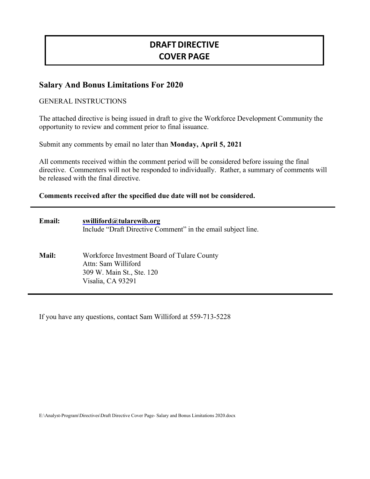# **DRAFTDIRECTIVE COVER PAGE**

# **Salary And Bonus Limitations For 2020**

### GENERAL INSTRUCTIONS

The attached directive is being issued in draft to give the Workforce Development Community the opportunity to review and comment prior to final issuance.

Submit any comments by email no later than **Monday, April 5, 2021**

All comments received within the comment period will be considered before issuing the final directive. Commenters will not be responded to individually. Rather, a summary of comments will be released with the final directive.

### **Comments received after the specified due date will not be considered.**

| <b>Email:</b> | swilliford@tularewib.org<br>Include "Draft Directive Comment" in the email subject line.                             |
|---------------|----------------------------------------------------------------------------------------------------------------------|
| <b>Mail:</b>  | Workforce Investment Board of Tulare County<br>Attn: Sam Williford<br>309 W. Main St., Ste. 120<br>Visalia, CA 93291 |

If you have any questions, contact Sam Williford at 559-713-5228

E:\Analyst-Program\Directives\Draft Directive Cover Page- Salary and Bonus Limitations 2020.docx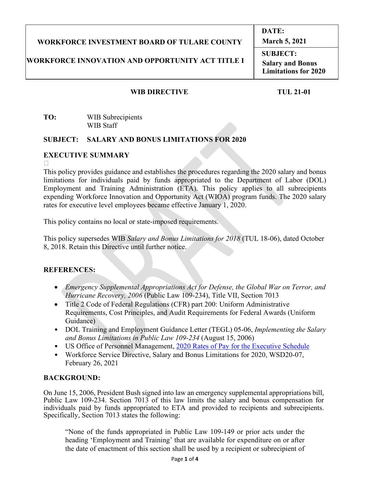#### **WORKFORCE INVESTMENT BOARD OF TULARE COUNTY March 5, 2021**

# **WORKFORCE INNOVATION AND OPPORTUNITY ACT TITLE I**

**SUBJECT: Salary and Bonus Limitations for 2020**

**DATE:**

## WIB DIRECTIVE TUL 21-01

**TO:** WIB Subrecipients WIB Staff

### **SUBJECT: SALARY AND BONUS LIMITATIONS FOR 2020**

### **EXECUTIVE SUMMARY**

 $\Box$ 

This policy provides guidance and establishes the procedures regarding the 2020 salary and bonus limitations for individuals paid by funds appropriated to the Department of Labor (DOL) Employment and Training Administration (ETA). This policy applies to all subrecipients expending Workforce Innovation and Opportunity Act (WIOA) program funds. The 2020 salary rates for executive level employees became effective January 1, 2020.

This policy contains no local or state-imposed requirements.

This policy supersedes WIB *Salary and Bonus Limitations for 2018* (TUL 18-06), dated October 8, 2018. Retain this Directive until further notice.

# **REFERENCES:**

- *Emergency Supplemental Appropriations Act for Defense, the Global War on Terror, and Hurricane Recovery, 2006* (Public Law 109-234), Title VII, Section 7013
- Title 2 Code of Federal Regulations (CFR) part 200: Uniform Administrative Requirements, Cost Principles, and Audit Requirements for Federal Awards (Uniform Guidance)
- DOL Training and Employment Guidance Letter (TEGL) 05-06, *Implementing the Salary and Bonus Limitations in Public Law 109-234* (August 15, 2006)
- US Office of Personnel Management, [2020 Rates of Pay for the Executive Schedule](https://www.opm.gov/policy-data-oversight/pay-leave/salaries-wages/salary-tables/pdf/2020/EX.pdf)
- Workforce Service Directive, Salary and Bonus Limitations for 2020, WSD20-07, February 26, 2021

# **BACKGROUND:**

On June 15, 2006, President Bush signed into law an emergency supplemental appropriations bill, Public Law 109-234. Section 7013 of this law limits the salary and bonus compensation for individuals paid by funds appropriated to ETA and provided to recipients and subrecipients. Specifically, Section 7013 states the following:

"None of the funds appropriated in Public Law 109-149 or prior acts under the heading 'Employment and Training' that are available for expenditure on or after the date of enactment of this section shall be used by a recipient or subrecipient of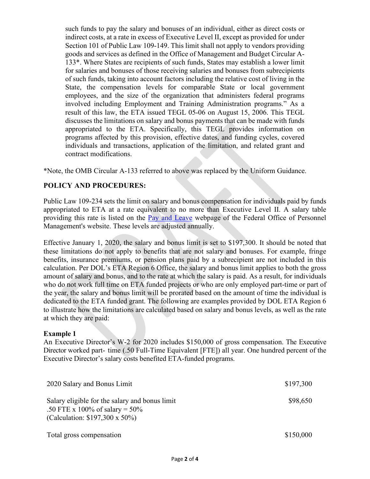such funds to pay the salary and bonuses of an individual, either as direct costs or indirect costs, at a rate in excess of Executive Level II, except as provided for under Section 101 of Public Law 109-149. This limit shall not apply to vendors providing goods and services as defined in the Office of Management and Budget Circular A-133\*. Where States are recipients of such funds, States may establish a lower limit for salaries and bonuses of those receiving salaries and bonuses from subrecipients of such funds, taking into account factors including the relative cost of living in the State, the compensation levels for comparable State or local government employees, and the size of the organization that administers federal programs involved including Employment and Training Administration programs." As a result of this law, the ETA issued TEGL 05-06 on August 15, 2006. This TEGL discusses the limitations on salary and bonus payments that can be made with funds appropriated to the ETA. Specifically, this TEGL provides information on programs affected by this provision, effective dates, and funding cycles, covered individuals and transactions, application of the limitation, and related grant and contract modifications.

\*Note, the OMB Circular A-133 referred to above was replaced by the Uniform Guidance.

### **POLICY AND PROCEDURES:**

Public Law 109-234 sets the limit on salary and bonus compensation for individuals paid by funds appropriated to ETA at a rate equivalent to no more than Executive Level II. A salary table providing this rate is listed on the [Pay and Leave](https://www.opm.gov/policy-data-oversight/pay-leave/salaries-wages/2020/executive-senior-level) webpage of the Federal Office of Personnel Management's website. These levels are adjusted annually.

Effective January 1, 2020, the salary and bonus limit is set to \$197,300. It should be noted that these limitations do not apply to benefits that are not salary and bonuses. For example, fringe benefits, insurance premiums, or pension plans paid by a subrecipient are not included in this calculation. Per DOL's ETA Region 6 Office, the salary and bonus limit applies to both the gross amount of salary and bonus, and to the rate at which the salary is paid. As a result, for individuals who do not work full time on ETA funded projects or who are only employed part-time or part of the year, the salary and bonus limit will be prorated based on the amount of time the individual is dedicated to the ETA funded grant. The following are examples provided by DOL ETA Region 6 to illustrate how the limitations are calculated based on salary and bonus levels, as well as the rate at which they are paid:

#### **Example 1**

An Executive Director's W-2 for 2020 includes \$150,000 of gross compensation. The Executive Director worked part- time (.50 Full-Time Equivalent [FTE]) all year. One hundred percent of the Executive Director's salary costs benefited ETA-funded programs.

| 2020 Salary and Bonus Limit                                                                                                   | \$197,300 |
|-------------------------------------------------------------------------------------------------------------------------------|-----------|
| Salary eligible for the salary and bonus limit<br>.50 FTE x 100% of salary = $50\%$<br>(Calculation: $$197,300 \times 50\%$ ) | \$98,650  |
| Total gross compensation                                                                                                      | \$150,000 |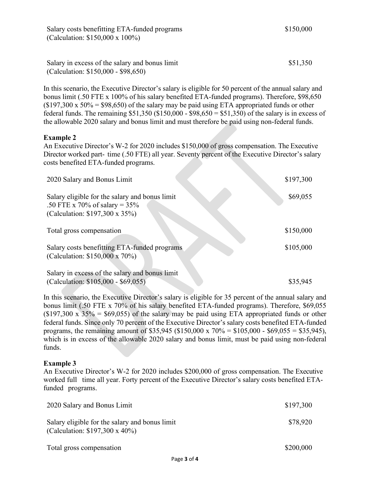Salary in excess of the salary and bonus limit (Calculation: \$150,000 - \$98,650)

In this scenario, the Executive Director's salary is eligible for 50 percent of the annual salary and bonus limit (.50 FTE x 100% of his salary benefited ETA-funded programs). Therefore, \$98,650  $($197,300 \times 50\% = $98,650)$  of the salary may be paid using ETA appropriated funds or other federal funds. The remaining  $$51,350$  ( $$150,000 - $98,650 = $51,350$ ) of the salary is in excess of the allowable 2020 salary and bonus limit and must therefore be paid using non-federal funds.

### **Example 2**

An Executive Director's W-2 for 2020 includes \$150,000 of gross compensation. The Executive Director worked part- time (.50 FTE) all year. Seventy percent of the Executive Director's salary costs benefited ETA-funded programs.

| 2020 Salary and Bonus Limit                                                                                         | \$197,300 |
|---------------------------------------------------------------------------------------------------------------------|-----------|
| Salary eligible for the salary and bonus limit<br>.50 FTE x 70% of salary = $35%$<br>(Calculation: \$197,300 x 35%) | \$69,055  |
| Total gross compensation                                                                                            | \$150,000 |
| Salary costs benefitting ETA-funded programs<br>(Calculation: \$150,000 x 70%)                                      | \$105,000 |
| Salary in excess of the salary and bonus limit<br>(Calculation: \$105,000 - \$69,055)                               | \$35,945  |

In this scenario, the Executive Director's salary is eligible for 35 percent of the annual salary and bonus limit (.50 FTE x 70% of his salary benefited ETA-funded programs). Therefore, \$69,055  $($197,300 \times 35\% = $69,055)$  of the salary may be paid using ETA appropriated funds or other federal funds. Since only 70 percent of the Executive Director's salary costs benefited ETA-funded programs, the remaining amount of \$35,945 (\$150,000 x  $70\% = $105,000 - $69,055 = $35,945$ ), which is in excess of the allowable 2020 salary and bonus limit, must be paid using non-federal funds.

### **Example 3**

An Executive Director's W-2 for 2020 includes \$200,000 of gross compensation. The Executive worked full time all year. Forty percent of the Executive Director's salary costs benefited ETAfunded programs.

| 2020 Salary and Bonus Limit                                                              | \$197,300 |
|------------------------------------------------------------------------------------------|-----------|
| Salary eligible for the salary and bonus limit<br>(Calculation: $$197,300 \times 40\%$ ) | \$78,920  |
| Total gross compensation                                                                 | \$200,000 |

\$51,350